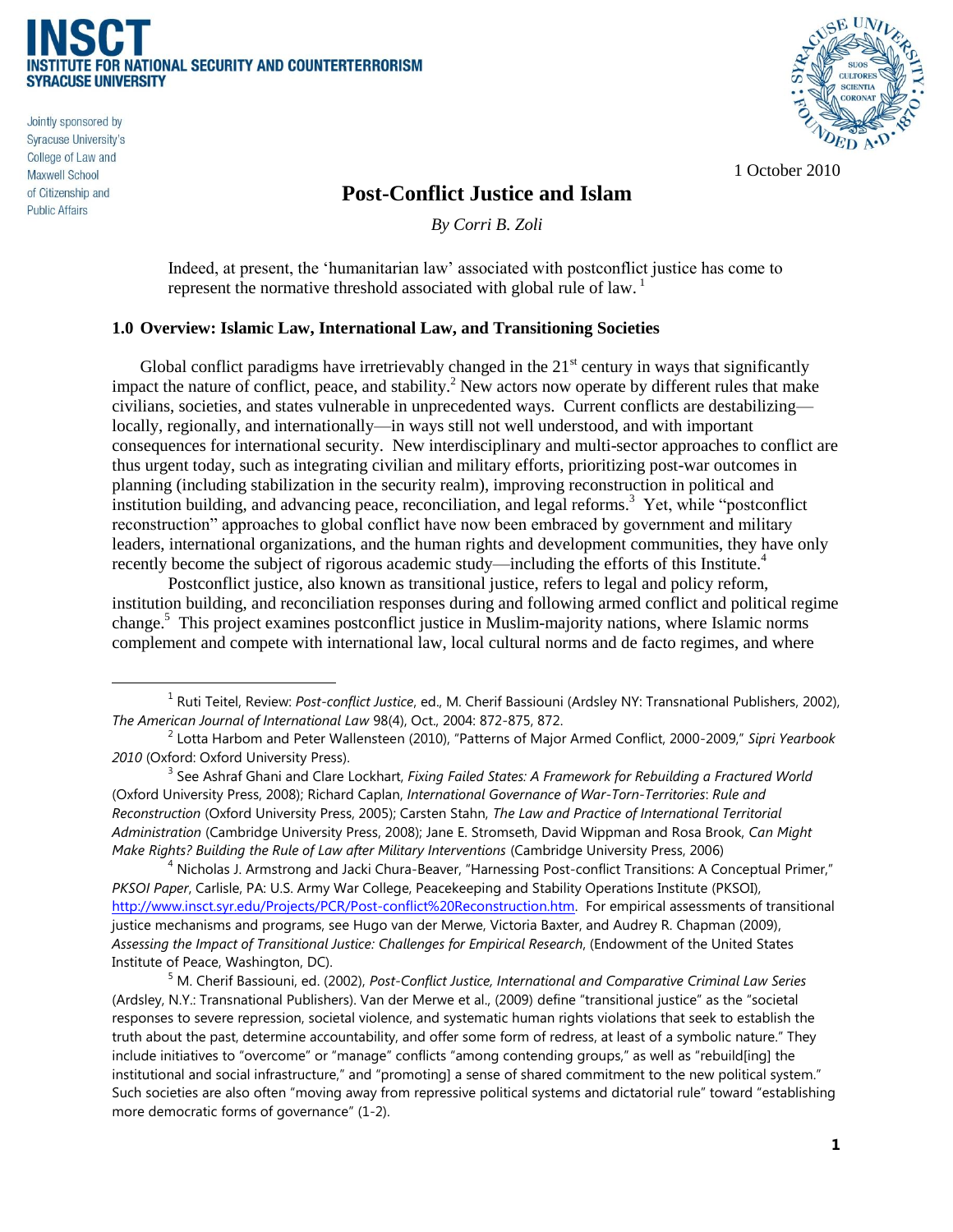

Jointly sponsored by Syracuse University's College of Law and **Maxwell School** of Citizenship and **Public Affairs** 

 $\overline{a}$ 



1 October 2010

#### **Post-Conflict Justice and Islam**

*By Corri B. Zoli*

Indeed, at present, the 'humanitarian law' associated with postconflict justice has come to represent the normative threshold associated with global rule of law.<sup>1</sup>

#### **1.0 Overview: Islamic Law, International Law, and Transitioning Societies**

Global conflict paradigms have irretrievably changed in the  $21<sup>st</sup>$  century in ways that significantly impact the nature of conflict, peace, and stability.<sup>2</sup> New actors now operate by different rules that make civilians, societies, and states vulnerable in unprecedented ways. Current conflicts are destabilizing locally, regionally, and internationally—in ways still not well understood, and with important consequences for international security. New interdisciplinary and multi-sector approaches to conflict are thus urgent today, such as integrating civilian and military efforts, prioritizing post-war outcomes in planning (including stabilization in the security realm), improving reconstruction in political and institution building, and advancing peace, reconciliation, and legal reforms.<sup>3</sup> Yet, while "postconflict" reconstruction" approaches to global conflict have now been embraced by government and military leaders, international organizations, and the human rights and development communities, they have only recently become the subject of rigorous academic study—including the efforts of this Institute.<sup>4</sup>

Postconflict justice, also known as transitional justice, refers to legal and policy reform, institution building, and reconciliation responses during and following armed conflict and political regime change.<sup>5</sup> This project examines postconflict justice in Muslim-majority nations, where Islamic norms complement and compete with international law, local cultural norms and de facto regimes, and where

<sup>1</sup> Ruti Teitel, Review: *Post-conflict Justice*, ed., M. Cherif Bassiouni (Ardsley NY: Transnational Publishers, 2002), *The American Journal of International Law* 98(4), Oct., 2004: 872-875, 872.

<sup>2</sup> Lotta Harbom and Peter Wallensteen (2010), "Patterns of Major Armed Conflict, 2000-2009," *Sipri Yearbook 2010* (Oxford: Oxford University Press).

<sup>&</sup>lt;sup>3</sup> See Ashraf Ghani and Clare Lockhart, *Fixing Failed States: A Framework for Rebuilding a Fractured World* (Oxford University Press, 2008); Richard Caplan, *International Governance of War-Torn-Territories*: *Rule and Reconstruction* (Oxford University Press, 2005); Carsten Stahn, *The Law and Practice of International Territorial Administration* (Cambridge University Press, 2008); Jane E. Stromseth, David Wippman and Rosa Brook, *Can Might Make Rights? Building the Rule of Law after Military Interventions* (Cambridge University Press, 2006)

 $^4$  Nicholas J. Armstrong and Jacki Chura-Beaver, "Harnessing Post-conflict Transitions: A Conceptual Primer," *PKSOI Paper*, Carlisle, PA: U.S. Army War College, Peacekeeping and Stability Operations Institute (PKSOI), [http://www.insct.syr.edu/Projects/PCR/Post-conflict%20Reconstruction.htm.](http://www.insct.syr.edu/Projects/PCR/Postconflict%20Reconstruction.htm) For empirical assessments of transitional justice mechanisms and programs, see Hugo van der Merwe, Victoria Baxter, and Audrey R. Chapman (2009), *Assessing the Impact of Transitional Justice: Challenges for Empirical Research*, (Endowment of the United States Institute of Peace, Washington, DC).

<sup>5</sup> M. Cherif Bassiouni, ed. (2002), *Post-Conflict Justice, International and Comparative Criminal Law Series* (Ardsley, N.Y.: Transnational Publishers). Van der Merwe et al., (2009) define "transitional justice" as the "societal responses to severe repression, societal violence, and systematic human rights violations that seek to establish the truth about the past, determine accountability, and offer some form of redress, at least of a symbolic nature." They include initiatives to "overcome" or "manage" conflicts "among contending groups," as well as "rebuild[ing] the institutional and social infrastructure," and "promoting] a sense of shared commitment to the new political system." Such societies are also often "moving away from repressive political systems and dictatorial rule" toward "establishing more democratic forms of governance" (1-2).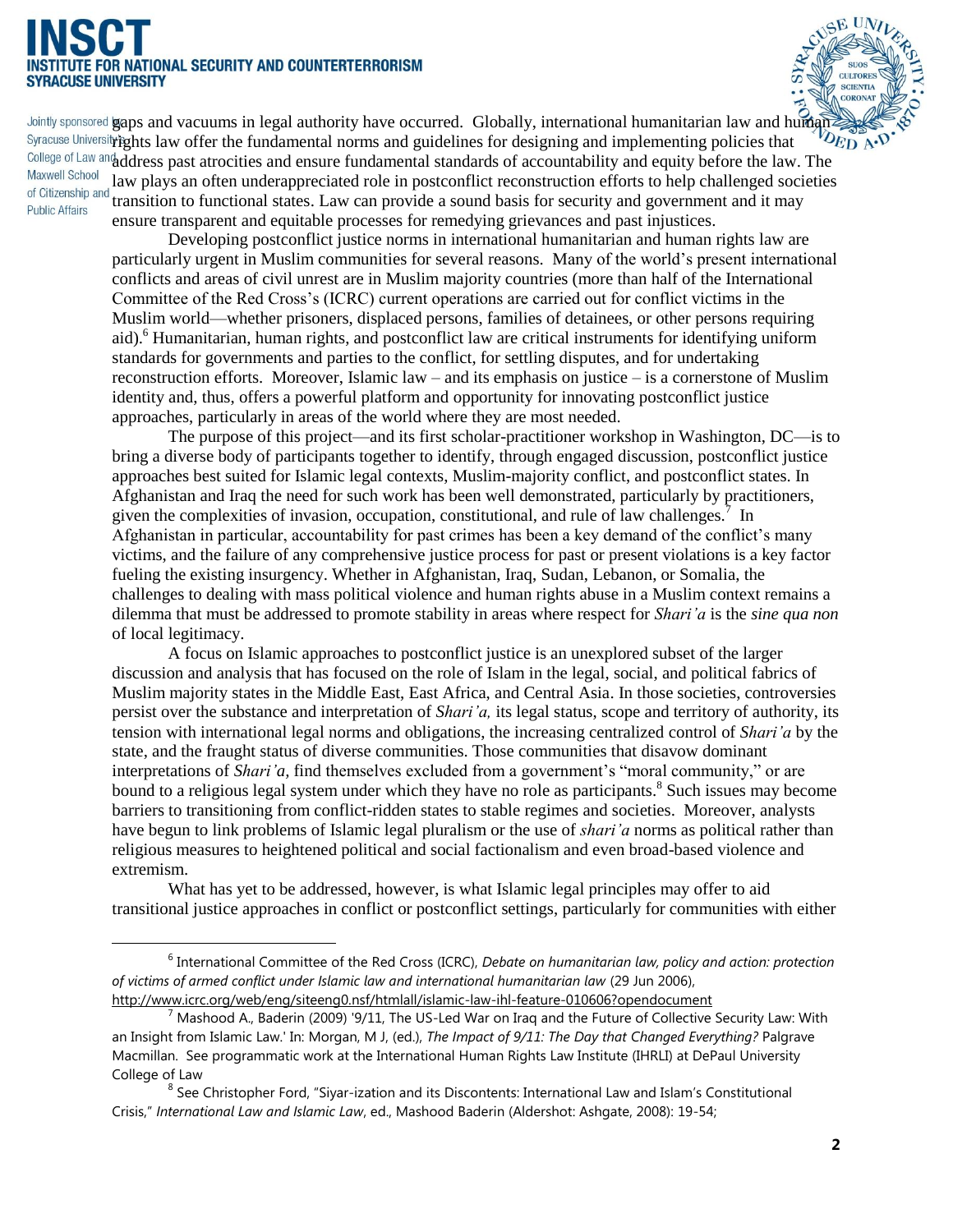## **I NATIONAL SECURITY AND COUNTERTERRORISM SYRACUSE UNIVERSITY**

 $\overline{a}$ 



Jointly sponsored gaps and vacuums in legal authority have occurred. Globally, international humanitarian law and human Syracuse University Fights law offer the fundamental norms and guidelines for designing and implementing policies that College of Law and address past atrocities and ensure fundamental standards of accountability and equity before the law. The **Maxwell School** law plays an often underappreciated role in postconflict reconstruction efforts to help challenged societies of Citizenship and transition to functional states. Law can provide a sound basis for security and government and it may **Public Affairs** ensure transparent and equitable processes for remedying grievances and past injustices.

> Developing postconflict justice norms in international humanitarian and human rights law are particularly urgent in Muslim communities for several reasons. Many of the world's present international conflicts and areas of civil unrest are in Muslim majority countries (more than half of the International Committee of the Red Cross's (ICRC) current operations are carried out for conflict victims in the Muslim world—whether prisoners, displaced persons, families of detainees, or other persons requiring aid).<sup>6</sup> Humanitarian, human rights, and postconflict law are critical instruments for identifying uniform standards for governments and parties to the conflict, for settling disputes, and for undertaking reconstruction efforts. Moreover, Islamic law – and its emphasis on justice – is a cornerstone of Muslim identity and, thus, offers a powerful platform and opportunity for innovating postconflict justice approaches, particularly in areas of the world where they are most needed.

> The purpose of this project—and its first scholar-practitioner workshop in Washington, DC—is to bring a diverse body of participants together to identify, through engaged discussion, postconflict justice approaches best suited for Islamic legal contexts, Muslim-majority conflict, and postconflict states. In Afghanistan and Iraq the need for such work has been well demonstrated, particularly by practitioners, given the complexities of invasion, occupation, constitutional, and rule of law challenges.<sup>7</sup> In Afghanistan in particular, accountability for past crimes has been a key demand of the conflict's many victims, and the failure of any comprehensive justice process for past or present violations is a key factor fueling the existing insurgency. Whether in Afghanistan, Iraq, Sudan, Lebanon, or Somalia, the challenges to dealing with mass political violence and human rights abuse in a Muslim context remains a dilemma that must be addressed to promote stability in areas where respect for *Shari'a* is the *sine qua non* of local legitimacy.

> A focus on Islamic approaches to postconflict justice is an unexplored subset of the larger discussion and analysis that has focused on the role of Islam in the legal, social, and political fabrics of Muslim majority states in the Middle East, East Africa, and Central Asia. In those societies, controversies persist over the substance and interpretation of *Shari'a,* its legal status, scope and territory of authority, its tension with international legal norms and obligations, the increasing centralized control of *Shari'a* by the state, and the fraught status of diverse communities. Those communities that disavow dominant interpretations of *Shari'a*, find themselves excluded from a government's "moral community," or are bound to a religious legal system under which they have no role as participants.<sup>8</sup> Such issues may become barriers to transitioning from conflict-ridden states to stable regimes and societies. Moreover, analysts have begun to link problems of Islamic legal pluralism or the use of *shari'a* norms as political rather than religious measures to heightened political and social factionalism and even broad-based violence and extremism.

> What has yet to be addressed, however, is what Islamic legal principles may offer to aid transitional justice approaches in conflict or postconflict settings, particularly for communities with either

<sup>&</sup>lt;sup>6</sup> International Committee of the Red Cross (ICRC), *Debate on humanitarian law, policy and action: protection of victims of armed conflict under Islamic law and international humanitarian law* (29 Jun 2006), <http://www.icrc.org/web/eng/siteeng0.nsf/htmlall/islamic-law-ihl-feature-010606?opendocument>

 $^7$  Mashood A., Baderin (2009) '9/11, The US-Led War on Iraq and the Future of Collective Security Law: With an Insight from Islamic Law.' In: Morgan, M J, (ed.), *The Impact of 9/11: The Day that Changed Everything?* Palgrave Macmillan. See programmatic work at the International Human Rights Law Institute (IHRLI) at DePaul University College of Law

 $^8$  See Christopher Ford, "Siyar-ization and its Discontents: International Law and Islam's Constitutional Crisis," *International Law and Islamic Law*, ed., Mashood Baderin (Aldershot: Ashgate, 2008): 19-54;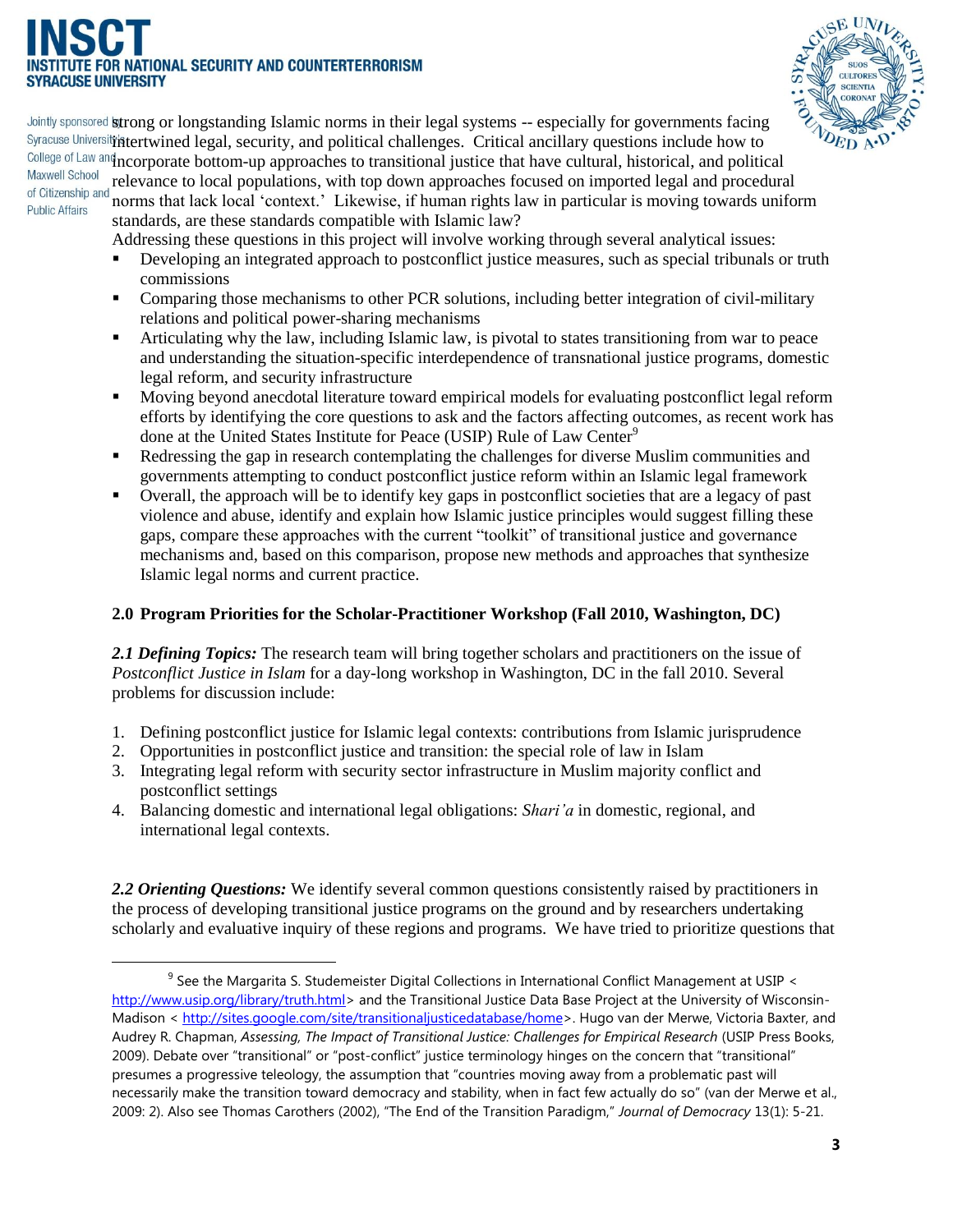## **ITIONAL SECURITY AND COUNTERTERRORISM ACUSE UNIVERSITY**



Jointly sponsored **strong or longstanding Islamic norms in their legal systems -- especially for governments facing** Syracuse University hitertwined legal, security, and political challenges. Critical ancillary questions include how to College of Law and ncorporate bottom-up approaches to transitional justice that have cultural, historical, and political **Maxwell School** relevance to local populations, with top down approaches focused on imported legal and procedural of Citizenship and norms that lack local ‗context.' Likewise, if human rights law in particular is moving towards uniform

 $\overline{a}$ 

standards, are these standards compatible with Islamic law? Addressing these questions in this project will involve working through several analytical issues:

- Developing an integrated approach to postconflict justice measures, such as special tribunals or truth commissions
- Comparing those mechanisms to other PCR solutions, including better integration of civil-military relations and political power-sharing mechanisms
- Articulating why the law, including Islamic law, is pivotal to states transitioning from war to peace and understanding the situation-specific interdependence of transnational justice programs, domestic legal reform, and security infrastructure
- Moving beyond anecdotal literature toward empirical models for evaluating postconflict legal reform efforts by identifying the core questions to ask and the factors affecting outcomes, as recent work has done at the United States Institute for Peace (USIP) Rule of Law Center<sup>9</sup>
- Redressing the gap in research contemplating the challenges for diverse Muslim communities and governments attempting to conduct postconflict justice reform within an Islamic legal framework
- Overall, the approach will be to identify key gaps in postconflict societies that are a legacy of past violence and abuse, identify and explain how Islamic justice principles would suggest filling these gaps, compare these approaches with the current "toolkit" of transitional justice and governance mechanisms and, based on this comparison, propose new methods and approaches that synthesize Islamic legal norms and current practice.

#### **2.0 Program Priorities for the Scholar-Practitioner Workshop (Fall 2010, Washington, DC)**

*2.1 Defining Topics:* The research team will bring together scholars and practitioners on the issue of *Postconflict Justice in Islam* for a day-long workshop in Washington, DC in the fall 2010. Several problems for discussion include:

- 1. Defining postconflict justice for Islamic legal contexts: contributions from Islamic jurisprudence
- 2. Opportunities in postconflict justice and transition: the special role of law in Islam
- 3. Integrating legal reform with security sector infrastructure in Muslim majority conflict and postconflict settings
- 4. Balancing domestic and international legal obligations: *Shari'a* in domestic, regional, and international legal contexts.

2.2 Orienting Questions: We identify several common questions consistently raised by practitioners in the process of developing transitional justice programs on the ground and by researchers undertaking scholarly and evaluative inquiry of these regions and programs. We have tried to prioritize questions that

 $9$  See the Margarita S. Studemeister Digital Collections in International Conflict Management at USIP < [http://www.usip.org/library/truth.html>](http://www.usip.org/library/truth.html) and the Transitional Justice Data Base Project at the University of Wisconsin-Madison < [http://sites.google.com/site/transitionaljusticedatabase/home>](http://sites.google.com/site/transitionaljusticedatabase/home). Hugo van der Merwe, Victoria Baxter, and Audrey R. Chapman, *Assessing, The Impact of Transitional Justice: Challenges for Empirical Research* (USIP Press Books, 2009). Debate over "transitional" or "post-conflict" justice terminology hinges on the concern that "transitional" presumes a progressive teleology, the assumption that "countries moving away from a problematic past will necessarily make the transition toward democracy and stability, when in fact few actually do so" (van der Merwe et al., 2009: 2). Also see Thomas Carothers (2002), "The End of the Transition Paradigm," *Journal of Democracy* 13(1): 5-21.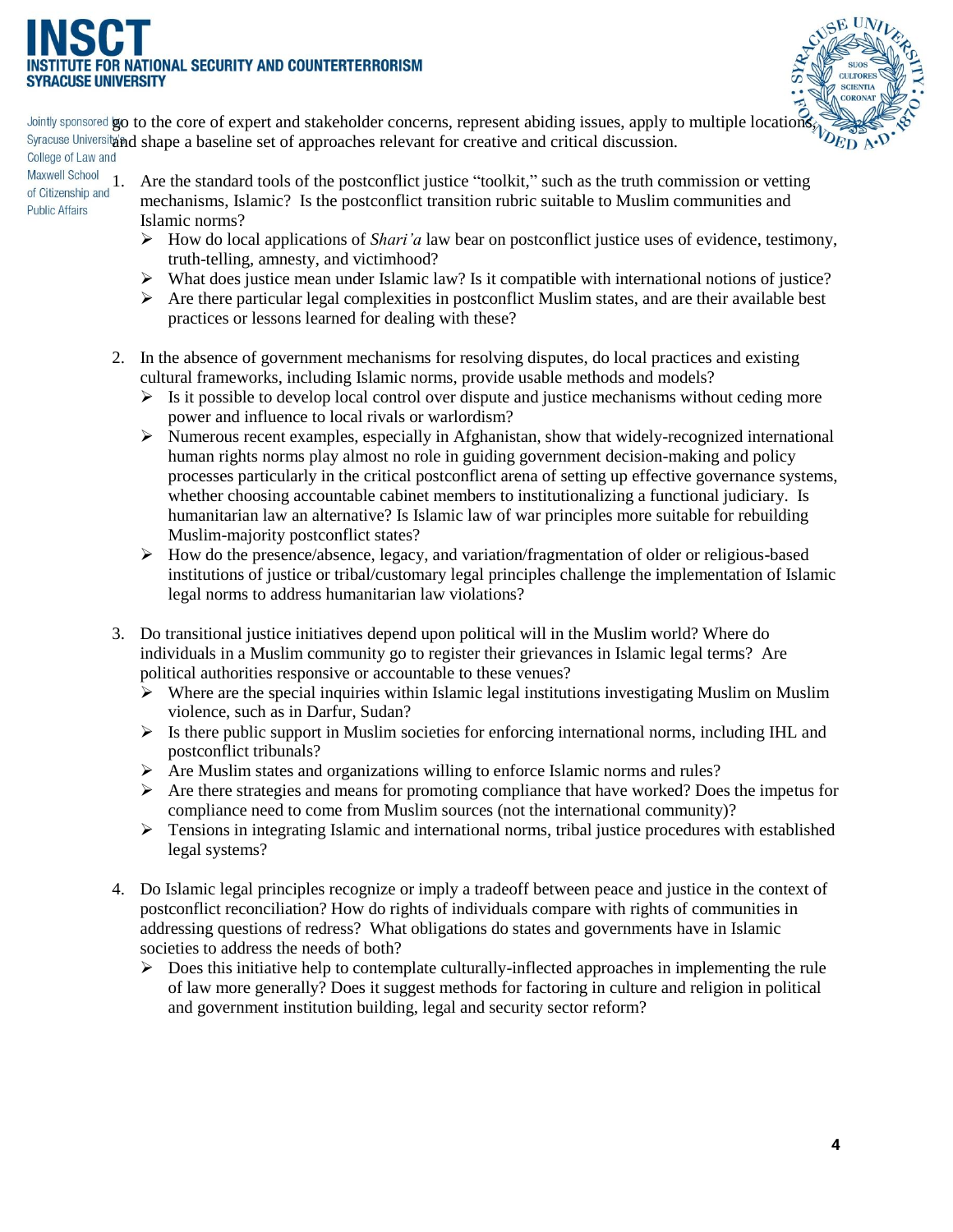# NATIONAL SECURITY AND COUNTERTERRORISM



go to the core of expert and stakeholder concerns, represent abiding issues, apply to multiple locations, and shape a baseline set of approaches relevant for creative and critical discussion.

### Maxwell School **Public Affairs**

- Maxwell School<br>of Citizenship and 1. Are the standard tools of the postconflict justice "toolkit," such as the truth commission or vetting<br>Public Affaire mechanisms, Islamic? Is the postconflict transition rubric suitable to Muslim communities and Islamic norms?
	- How do local applications of *Shari'a* law bear on postconflict justice uses of evidence, testimony, truth-telling, amnesty, and victimhood?
	- $\triangleright$  What does justice mean under Islamic law? Is it compatible with international notions of justice?
	- $\triangleright$  Are there particular legal complexities in postconflict Muslim states, and are their available best practices or lessons learned for dealing with these?
	- 2. In the absence of government mechanisms for resolving disputes, do local practices and existing cultural frameworks, including Islamic norms, provide usable methods and models?
		- $\triangleright$  Is it possible to develop local control over dispute and justice mechanisms without ceding more power and influence to local rivals or warlordism?
		- $\triangleright$  Numerous recent examples, especially in Afghanistan, show that widely-recognized international human rights norms play almost no role in guiding government decision-making and policy processes particularly in the critical postconflict arena of setting up effective governance systems, whether choosing accountable cabinet members to institutionalizing a functional judiciary. Is humanitarian law an alternative? Is Islamic law of war principles more suitable for rebuilding Muslim-majority postconflict states?
		- $\triangleright$  How do the presence/absence, legacy, and variation/fragmentation of older or religious-based institutions of justice or tribal/customary legal principles challenge the implementation of Islamic legal norms to address humanitarian law violations?
	- 3. Do transitional justice initiatives depend upon political will in the Muslim world? Where do individuals in a Muslim community go to register their grievances in Islamic legal terms? Are political authorities responsive or accountable to these venues?
		- $\triangleright$  Where are the special inquiries within Islamic legal institutions investigating Muslim on Muslim violence, such as in Darfur, Sudan?
		- $\triangleright$  Is there public support in Muslim societies for enforcing international norms, including IHL and postconflict tribunals?
		- $\triangleright$  Are Muslim states and organizations willing to enforce Islamic norms and rules?
		- $\triangleright$  Are there strategies and means for promoting compliance that have worked? Does the impetus for compliance need to come from Muslim sources (not the international community)?
		- > Tensions in integrating Islamic and international norms, tribal justice procedures with established legal systems?
	- 4. Do Islamic legal principles recognize or imply a tradeoff between peace and justice in the context of postconflict reconciliation? How do rights of individuals compare with rights of communities in addressing questions of redress? What obligations do states and governments have in Islamic societies to address the needs of both?
		- $\triangleright$  Does this initiative help to contemplate culturally-inflected approaches in implementing the rule of law more generally? Does it suggest methods for factoring in culture and religion in political and government institution building, legal and security sector reform?